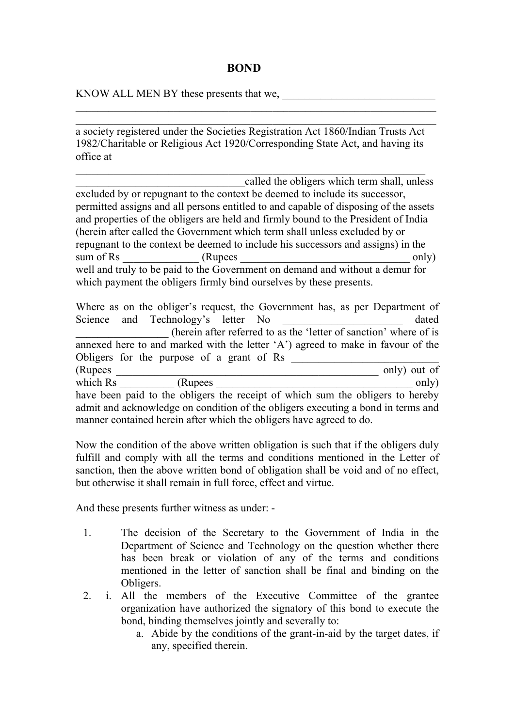## **BOND**

KNOW ALL MEN BY these presents that we,

a society registered under the Societies Registration Act 1860/Indian Trusts Act 1982/Charitable or Religious Act 1920/Corresponding State Act, and having its office at

\_\_\_\_\_\_\_\_\_\_\_\_\_\_\_\_\_\_\_\_\_\_\_\_\_\_\_\_\_\_\_\_\_\_\_\_\_\_\_\_\_\_\_\_\_\_\_\_\_\_\_\_\_\_\_\_\_\_\_\_\_\_\_\_

\_\_\_\_\_\_\_\_\_\_\_\_\_\_\_\_\_\_\_\_\_\_\_\_\_\_\_\_\_\_\_\_\_\_\_\_\_\_\_\_\_\_\_\_\_\_\_\_\_\_\_\_\_\_\_\_\_\_\_\_\_\_\_\_\_\_ \_\_\_\_\_\_\_\_\_\_\_\_\_\_\_\_\_\_\_\_\_\_\_\_\_\_\_\_\_\_\_\_\_\_\_\_\_\_\_\_\_\_\_\_\_\_\_\_\_\_\_\_\_\_\_\_\_\_\_\_\_\_\_\_\_\_

called the obligers which term shall, unless excluded by or repugnant to the context be deemed to include its successor, permitted assigns and all persons entitled to and capable of disposing of the assets and properties of the obligers are held and firmly bound to the President of India (herein after called the Government which term shall unless excluded by or repugnant to the context be deemed to include his successors and assigns) in the sum of Rs  $\frac{1}{\text{sum of R}}$  (Rupees  $\frac{1}{\text{sum of R}}$  only) well and truly to be paid to the Government on demand and without a demur for which payment the obligers firmly bind ourselves by these presents.

|          | Where as on the obliger's request, the Government has, as per Department of      |  |  |                                                                   |
|----------|----------------------------------------------------------------------------------|--|--|-------------------------------------------------------------------|
|          | Science and Technology's letter No                                               |  |  | dated                                                             |
|          |                                                                                  |  |  | (herein after referred to as the 'letter of sanction' where of is |
|          | annexed here to and marked with the letter 'A') agreed to make in favour of the  |  |  |                                                                   |
|          | Obligers for the purpose of a grant of Rs                                        |  |  |                                                                   |
| (Rupees) |                                                                                  |  |  | only) out of                                                      |
| which Rs | (Rupees)                                                                         |  |  | only)                                                             |
|          | have been paid to the obligers the receipt of which sum the obligers to hereby   |  |  |                                                                   |
|          | admit and acknowledge on condition of the obligers executing a bond in terms and |  |  |                                                                   |
|          | manner contained herein after which the obligers have agreed to do.              |  |  |                                                                   |

Now the condition of the above written obligation is such that if the obligers duly fulfill and comply with all the terms and conditions mentioned in the Letter of sanction, then the above written bond of obligation shall be void and of no effect, but otherwise it shall remain in full force, effect and virtue.

And these presents further witness as under: -

- 1. The decision of the Secretary to the Government of India in the Department of Science and Technology on the question whether there has been break or violation of any of the terms and conditions mentioned in the letter of sanction shall be final and binding on the Obligers.
- 2. i. All the members of the Executive Committee of the grantee organization have authorized the signatory of this bond to execute the bond, binding themselves jointly and severally to:
	- a. Abide by the conditions of the grant-in-aid by the target dates, if any, specified therein.